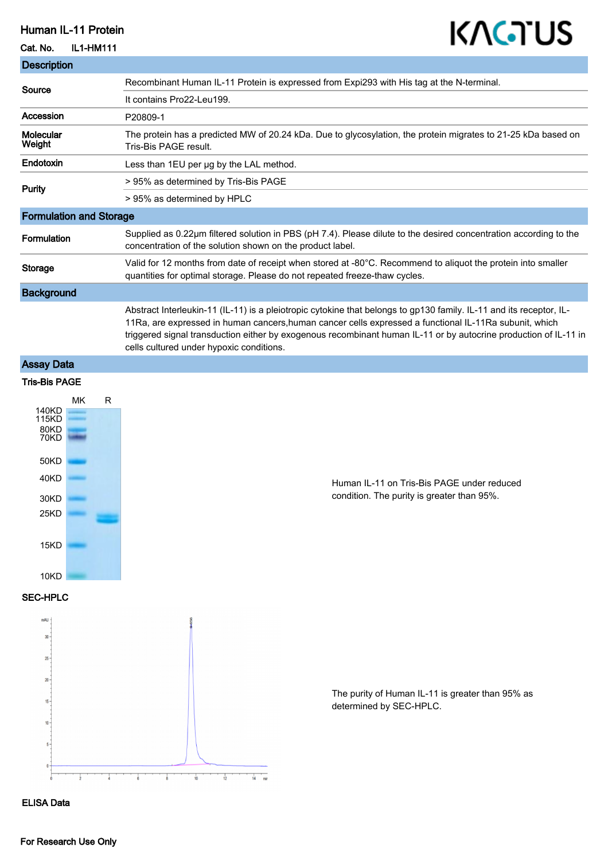# Human IL-11 Protein

## Cat. No. IL1-HM111

# KAGTUS

| <b>Description</b>             |                                                                                                                                                                                                                                                                                                                                                                                               |
|--------------------------------|-----------------------------------------------------------------------------------------------------------------------------------------------------------------------------------------------------------------------------------------------------------------------------------------------------------------------------------------------------------------------------------------------|
| Source                         | Recombinant Human IL-11 Protein is expressed from Expi293 with His tag at the N-terminal.                                                                                                                                                                                                                                                                                                     |
|                                | It contains Pro22-Leu199.                                                                                                                                                                                                                                                                                                                                                                     |
| Accession                      | P20809-1                                                                                                                                                                                                                                                                                                                                                                                      |
| Molecular<br>Weight            | The protein has a predicted MW of 20.24 kDa. Due to glycosylation, the protein migrates to 21-25 kDa based on<br>Tris-Bis PAGE result.                                                                                                                                                                                                                                                        |
| Endotoxin                      | Less than 1EU per ug by the LAL method.                                                                                                                                                                                                                                                                                                                                                       |
| <b>Purity</b>                  | > 95% as determined by Tris-Bis PAGE                                                                                                                                                                                                                                                                                                                                                          |
|                                | > 95% as determined by HPLC                                                                                                                                                                                                                                                                                                                                                                   |
| <b>Formulation and Storage</b> |                                                                                                                                                                                                                                                                                                                                                                                               |
| Formulation                    | Supplied as 0.22µm filtered solution in PBS (pH 7.4). Please dilute to the desired concentration according to the<br>concentration of the solution shown on the product label.                                                                                                                                                                                                                |
| <b>Storage</b>                 | Valid for 12 months from date of receipt when stored at -80°C. Recommend to aliquot the protein into smaller<br>quantities for optimal storage. Please do not repeated freeze-thaw cycles.                                                                                                                                                                                                    |
| <b>Background</b>              |                                                                                                                                                                                                                                                                                                                                                                                               |
|                                | Abstract Interleukin-11 (IL-11) is a pleiotropic cytokine that belongs to gp130 family. IL-11 and its receptor, IL-<br>11Ra, are expressed in human cancers, human cancer cells expressed a functional IL-11Ra subunit, which<br>triggered signal transduction either by exogenous recombinant human IL-11 or by autocrine production of IL-11 in<br>cells cultured under hypoxic conditions. |

# Assay Data

### Tris-Bis PAGE



# Human IL-11 on Tris-Bis PAGE under reduced condition. The purity is greater than 95%.

### SEC-HPLC



The purity of Human IL-11 is greater than 95% as determined by SEC-HPLC.

#### ELISA Data